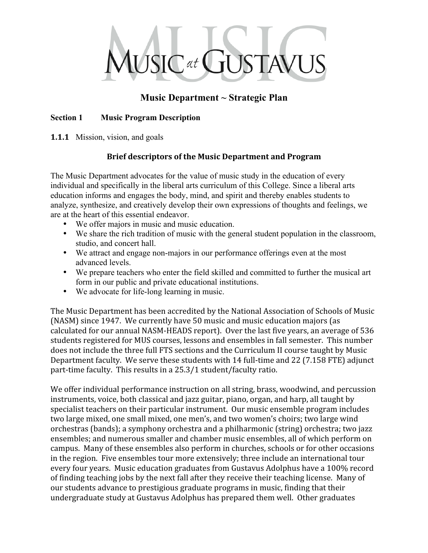

## **Music Department ~ Strategic Plan**

### **Section 1 Music Program Description**

**1.1.1** Mission, vision, and goals

### **Brief
descriptors
of
the
Music
Department
and
Program**

The Music Department advocates for the value of music study in the education of every individual and specifically in the liberal arts curriculum of this College. Since a liberal arts education informs and engages the body, mind, and spirit and thereby enables students to analyze, synthesize, and creatively develop their own expressions of thoughts and feelings, we are at the heart of this essential endeavor.

- We offer majors in music and music education.
- We share the rich tradition of music with the general student population in the classroom, studio, and concert hall.
- We attract and engage non-majors in our performance offerings even at the most advanced levels.
- We prepare teachers who enter the field skilled and committed to further the musical art form in our public and private educational institutions.
- We advocate for life-long learning in music.

The
Music
Department
has
been
accredited
by
the
National
Association
of
Schools
of
Music (NASM)
since
1947.

We
currently
have
50
music
and
music
education
majors
(as calculated
for
our
annual
NASM‐HEADS
report).

Over
the
last
five
years,
an
average
of
536 students
registered
for
MUS
courses,
lessons
and
ensembles
in
fall
semester.

This
number does not
include
the
three
full
FTS
sections
and
the
Curriculum
II
course
taught
by
Music Department faculty. We serve these students with 14 full-time and 22 (7.158 FTE) adjunct part-time faculty. This results in a 25.3/1 student/faculty ratio.

We offer individual performance instruction on all string, brass, woodwind, and percussion instruments, voice, both classical and jazz guitar, piano, organ, and harp, all taught by specialist
teachers
on
their
particular
instrument.

Our
music
ensemble
program
includes two large mixed, one small mixed, one men's, and two women's choirs; two large wind orchestras
(bands);
a
symphony
orchestra
and
a
philharmonic
(string)
orchestra;
two
jazz ensembles;
and
numerous
smaller
and
chamber
music
ensembles,
all
of
which
perform
on campus.

Many
of
these
ensembles
also
perform
in
churches,
schools
or
for
other
occasions in
the
region.

Five
ensembles
tour
more
extensively;
three
include
an
international
tour every four years. Music education graduates from Gustavus Adolphus have a 100% record of finding teaching jobs by the next fall after they receive their teaching license. Many of our
students
advance
to
prestigious
graduate
programs
in
music,
finding
that
their undergraduate
study
at
Gustavus
Adolphus
has
prepared
them
well.

Other
graduates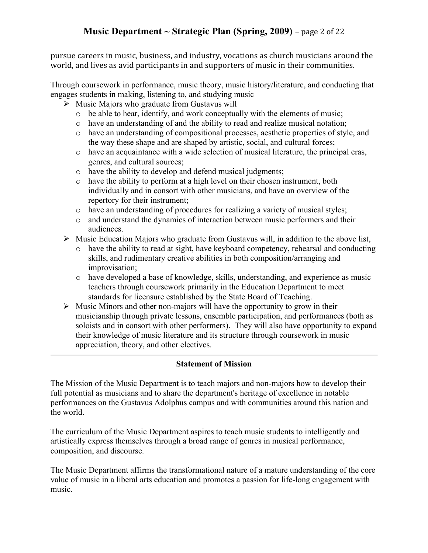# **Music Department ~ Strategic Plan (Spring, 2009)** –
page
2
of
22

pursue careers
in
music,
business,
and
industry,
vocations
as
church
musicians
around
the world, and lives as avid participants in and supporters of music in their communities.

Through coursework in performance, music theory, music history/literature, and conducting that engages students in making, listening to, and studying music

- $\triangleright$  Music Majors who graduate from Gustavus will
	- o be able to hear, identify, and work conceptually with the elements of music;
	- o have an understanding of and the ability to read and realize musical notation;
	- o have an understanding of compositional processes, aesthetic properties of style, and the way these shape and are shaped by artistic, social, and cultural forces;
	- o have an acquaintance with a wide selection of musical literature, the principal eras, genres, and cultural sources;
	- o have the ability to develop and defend musical judgments;
	- o have the ability to perform at a high level on their chosen instrument, both individually and in consort with other musicians, and have an overview of the repertory for their instrument;
	- o have an understanding of procedures for realizing a variety of musical styles;
	- o and understand the dynamics of interaction between music performers and their audiences.
- $\triangleright$  Music Education Majors who graduate from Gustavus will, in addition to the above list,
	- o have the ability to read at sight, have keyboard competency, rehearsal and conducting skills, and rudimentary creative abilities in both composition/arranging and improvisation;
	- o have developed a base of knowledge, skills, understanding, and experience as music teachers through coursework primarily in the Education Department to meet standards for licensure established by the State Board of Teaching.
- $\triangleright$  Music Minors and other non-majors will have the opportunity to grow in their musicianship through private lessons, ensemble participation, and performances (both as soloists and in consort with other performers). They will also have opportunity to expand their knowledge of music literature and its structure through coursework in music appreciation, theory, and other electives.

#### **Statement of Mission**

The Mission of the Music Department is to teach majors and non-majors how to develop their full potential as musicians and to share the department's heritage of excellence in notable performances on the Gustavus Adolphus campus and with communities around this nation and the world.

The curriculum of the Music Department aspires to teach music students to intelligently and artistically express themselves through a broad range of genres in musical performance, composition, and discourse.

The Music Department affirms the transformational nature of a mature understanding of the core value of music in a liberal arts education and promotes a passion for life-long engagement with music.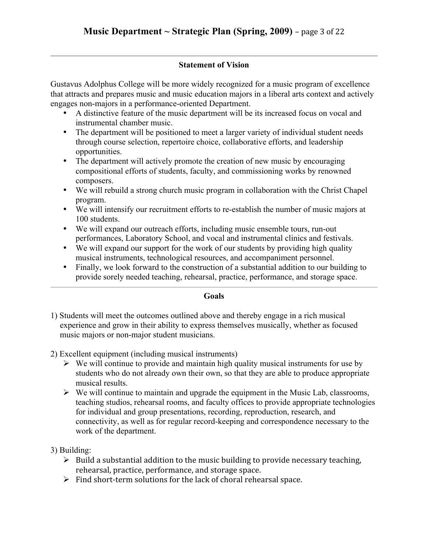### **Statement of Vision**

Gustavus Adolphus College will be more widely recognized for a music program of excellence that attracts and prepares music and music education majors in a liberal arts context and actively engages non-majors in a performance-oriented Department.

- A distinctive feature of the music department will be its increased focus on vocal and instrumental chamber music.
- The department will be positioned to meet a larger variety of individual student needs through course selection, repertoire choice, collaborative efforts, and leadership opportunities.
- The department will actively promote the creation of new music by encouraging compositional efforts of students, faculty, and commissioning works by renowned composers.
- We will rebuild a strong church music program in collaboration with the Christ Chapel program.
- We will intensify our recruitment efforts to re-establish the number of music majors at 100 students.
- We will expand our outreach efforts, including music ensemble tours, run-out performances, Laboratory School, and vocal and instrumental clinics and festivals.
- We will expand our support for the work of our students by providing high quality musical instruments, technological resources, and accompaniment personnel.
- Finally, we look forward to the construction of a substantial addition to our building to provide sorely needed teaching, rehearsal, practice, performance, and storage space.

#### **Goals**

- 1) Students will meet the outcomes outlined above and thereby engage in a rich musical experience and grow in their ability to express themselves musically, whether as focused music majors or non-major student musicians.
- 2) Excellent equipment (including musical instruments)
	- $\triangleright$  We will continue to provide and maintain high quality musical instruments for use by students who do not already own their own, so that they are able to produce appropriate musical results.
	- $\triangleright$  We will continue to maintain and upgrade the equipment in the Music Lab, classrooms, teaching studios, rehearsal rooms, and faculty offices to provide appropriate technologies for individual and group presentations, recording, reproduction, research, and connectivity, as well as for regular record-keeping and correspondence necessary to the work of the department.

3) Building:

- $\triangleright$  Build a substantial addition to the music building to provide necessary teaching, rehearsal,
practice,
performance,
and
storage
space.
- ▶ Find short-term solutions for the lack of choral rehearsal space.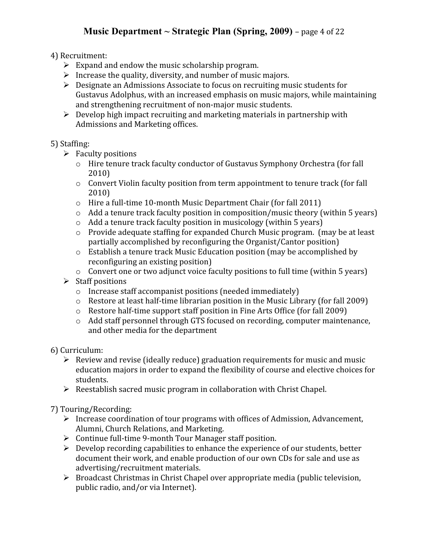# **Music Department ~ Strategic Plan (Spring, 2009)** –
page
4
of
22

### 4)
Recruitment:

- $\triangleright$  Expand and endow the music scholarship program.
- $\triangleright$  Increase the quality, diversity, and number of music majors.
- ▶ Designate an Admissions Associate to focus on recruiting music students for Gustavus Adolphus, with an increased emphasis on music majors, while maintaining and strengthening recruitment of non-major music students.
- ▶ Develop high impact recruiting and marketing materials in partnership with Admissions
and
Marketing
offices.

### 5)
Staffing:

- $\triangleright$  Faculty positions
	- o Hire
	tenure
	track
	faculty
	conductor
	of
	Gustavus
	Symphony
	Orchestra
	(for
	fall 2010)
	- $\circ$  Convert Violin faculty position from term appointment to tenure track (for fall 2010)
	- o Hire
	a
	full‐time
	10‐month
	Music
	Department
	Chair
	(for
	fall
	2011)
	- o Add
	a
	tenure
	track
	faculty
	position
	in
	composition/music
	theory
	(within
	5
	years)
	- o Add
	a
	tenure
	track
	faculty
	position
	in
	musicology
	(within
	5
	years)
	- o Provide
	adequate
	staffing
	for
	expanded
	Church
	Music
	program.
	
	(may
	be
	at
	least partially
	accomplished
	by
	reconfiguring the
	Organist/Cantor
	position)
	- o Establish
	a
	tenure
	track
	Music
	Education
	position
	(may
	be
	accomplished
	by reconfiguring
	an
	existing
	position)
	- o Convert
	one
	or
	two
	adjunct
	voice
	faculty
	positions
	to
	full
	time
	(within
	5
	years)
- $\triangleright$  Staff positions
	- o Increase
	staff
	accompanist
	positions
	(needed
	immediately)
	- $\circ$  Restore at least half-time librarian position in the Music Library (for fall 2009)
	- o Restore
	half‐time
	support
	staff
	position
	in
	Fine
	Arts
	Office
	(for
	fall
	2009)
	- o Add
	staff
	personnel
	through
	GTS
	focused
	on
	recording,
	computer
	maintenance, and
	other
	media
	for
	the
	department
- 6)
Curriculum:
	- $\triangleright$  Review and revise (ideally reduce) graduation requirements for music and music education majors in order to expand the flexibility of course and elective choices for students.
	- > Reestablish sacred music program in collaboration with Christ Chapel.

### 7)
Touring/Recording:

- > Increase coordination of tour programs with offices of Admission, Advancement, Alumni,
Church
Relations,
and
Marketing.
- ▶ Continue full-time 9-month Tour Manager staff position.
- ▶ Develop recording capabilities to enhance the experience of our students, better document their work, and enable production of our own CDs for sale and use as advertising/recruitment
materials.
- > Broadcast Christmas in Christ Chapel over appropriate media (public television, public
radio,
and/or
via
Internet).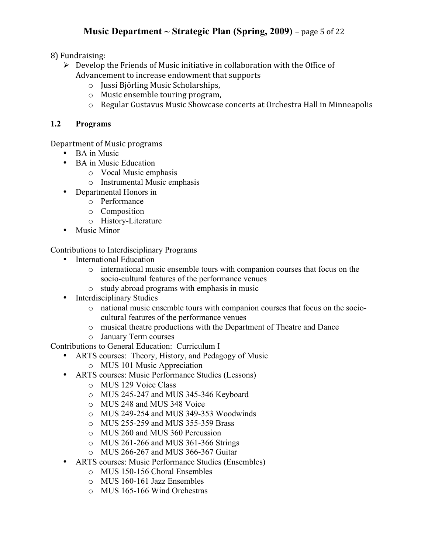# **Music** Department  $\sim$  **Strategic** Plan (Spring, 2009) – page 5 of 22

8)
Fundraising:

- ▶ Develop the Friends of Music initiative in collaboration with the Office of Advancement
to
increase
endowment
that
supports
	- o Jussi
	Björling
	Music
	Scholarships,
	- o Music
	ensemble
	touring
	program,
	- o Regular
	Gustavus
	Music
	Showcase
	concerts
	at
	Orchestra
	Hall
	in
	Minneapolis

### **1.2 Programs**

Department
of
Music
programs

- BA in Music
- BA in Music Education
	- o Vocal Music emphasis
	- o Instrumental Music emphasis
- Departmental Honors in
	- o Performance
	- o Composition
	- o History-Literature
- Music Minor

Contributions to Interdisciplinary Programs

- International Education
	- o international music ensemble tours with companion courses that focus on the socio-cultural features of the performance venues
	- o study abroad programs with emphasis in music
- Interdisciplinary Studies
	- o national music ensemble tours with companion courses that focus on the sociocultural features of the performance venues
	- o musical theatre productions with the Department of Theatre and Dance
	- o January Term courses

Contributions to General Education: Curriculum I

- ARTS courses: Theory, History, and Pedagogy of Music
	- o MUS 101 Music Appreciation
- ARTS courses: Music Performance Studies (Lessons)
	- o MUS 129 Voice Class
	- o MUS 245-247 and MUS 345-346 Keyboard
	- o MUS 248 and MUS 348 Voice
	- o MUS 249-254 and MUS 349-353 Woodwinds
	- o MUS 255-259 and MUS 355-359 Brass
	- o MUS 260 and MUS 360 Percussion
	- o MUS 261-266 and MUS 361-366 Strings
	- o MUS 266-267 and MUS 366-367 Guitar
- ARTS courses: Music Performance Studies (Ensembles)
	- o MUS 150-156 Choral Ensembles
	- o MUS 160-161 Jazz Ensembles
	- o MUS 165-166 Wind Orchestras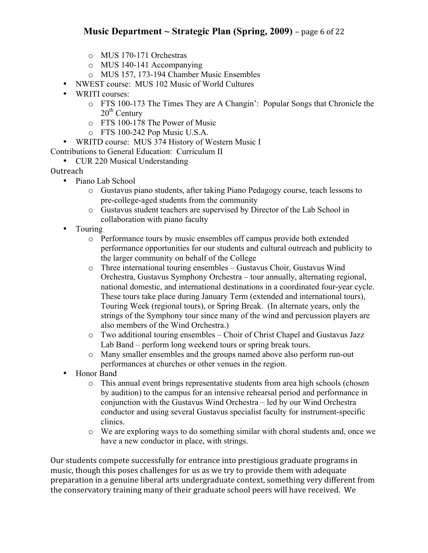### **Music** Department  $\sim$  **Strategic** Plan (Spring, 2009) – page 6 of 22

- o MUS 170-171 Orchestras
- o MUS 140-141 Accompanying
- o MUS 157, 173-194 Chamber Music Ensembles
- NWEST course: MUS 102 Music of World Cultures
- WRITI courses:
	- o FTS 100-173 The Times They are A Changin': Popular Songs that Chronicle the 20<sup>th</sup> Century
	- o FTS 100-178 The Power of Music
	- o FTS 100-242 Pop Music U.S.A.
- WRITD course: MUS 374 History of Western Music I

Contributions to General Education: Curriculum II

• CUR 220 Musical Understanding

**Outreach** 

- Piano Lab School
	- o Gustavus piano students, after taking Piano Pedagogy course, teach lessons to pre-college-aged students from the community
	- o Gustavus student teachers are supervised by Director of the Lab School in collaboration with piano faculty
- Touring
	- o Performance tours by music ensembles off campus provide both extended performance opportunities for our students and cultural outreach and publicity to the larger community on behalf of the College
	- o Three international touring ensembles Gustavus Choir, Gustavus Wind Orchestra, Gustavus Symphony Orchestra – tour annually, alternating regional, national domestic, and international destinations in a coordinated four-year cycle. These tours take place during January Term (extended and international tours), Touring Week (regional tours), or Spring Break. (In alternate years, only the strings of the Symphony tour since many of the wind and percussion players are also members of the Wind Orchestra.)
	- o Two additional touring ensembles Choir of Christ Chapel and Gustavus Jazz Lab Band – perform long weekend tours or spring break tours.
	- o Many smaller ensembles and the groups named above also perform run-out performances at churches or other venues in the region.
- Honor Band
	- o This annual event brings representative students from area high schools (chosen by audition) to the campus for an intensive rehearsal period and performance in conjunction with the Gustavus Wind Orchestra – led by our Wind Orchestra conductor and using several Gustavus specialist faculty for instrument-specific clinics.
	- o We are exploring ways to do something similar with choral students and, once we have a new conductor in place, with strings.

Our
students
compete
successfully
for
entrance
into
prestigious
graduate
programs
in music,
though
this
poses
challenges
for
us
as
we
try
to
provide
them
with
adequate preparation
in
a
genuine
liberal
arts
undergraduate
context,
something
very
different
from the conservatory training many of their graduate school peers will have received. We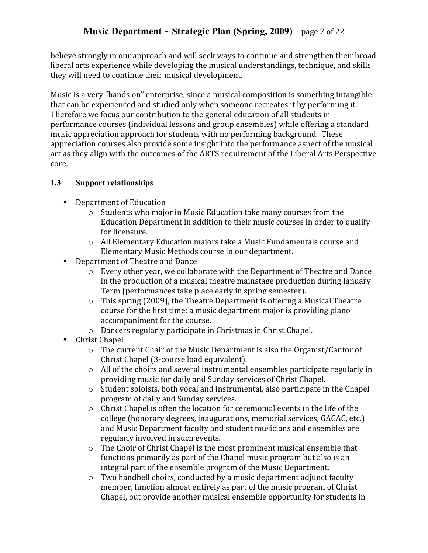believe
strongly
in
our
approach
and
will
seek
ways
to
continue
and
strengthen
their
broad liberal arts experience while developing the musical understandings, technique, and skills they
will
need
to
continue
their
musical
development.

Music is a very "hands on" enterprise, since a musical composition is something intangible that
can
be
experienced
and
studied
only
when
someone
recreates
it
by
performing
it. Therefore
we
focus
our
contribution
to
the
general
education
of
all
students
in performance
courses
(individual
lessons
and
group
ensembles)
while
offering
a
standard music
appreciation
approach
for
students
with
no
performing
background.

These appreciation
courses
also
provide
some
insight
into
the
performance
aspect
of
the
musical art
as
they
align
with
the
outcomes
of
the
ARTS
requirement
of
the
Liberal
Arts
Perspective core.

### **1.3 Support relationships**

- Department
of
Education
	- o Students
	who
	major
	in
	Music
	Education
	take
	many
	courses
	from
	the Education Department in addition to their music courses in order to qualify for
	licensure.
	- o All
	Elementary
	Education
	majors
	take
	a
	Music
	Fundamentals
	course
	and Elementary
	Music
	Methods
	course
	in
	our
	department.
- Department
of
Theatre
and
Dance
	- o Every
	other
	year,
	we
	collaborate
	with
	the
	Department
	of
	Theatre
	and
	Dance in
	the
	production
	of
	a
	musical
	theatre
	mainstage
	production
	during
	January Term
	(performances
	take
	place
	early
	in
	spring
	semester).
	- o This
	spring
	(2009),
	the
	Theatre
	Department
	is
	offering
	a
	Musical
	Theatre course
	for
	the
	first
	time;
	a
	music
	department
	major
	is
	providing
	piano accompaniment
	for
	the
	course.
	- o Dancers regularly participate in Christmas in Christ Chapel.
- Christ
Chapel
	- o The current Chair of the Music Department is also the Organist/Cantor of Christ
	Chapel
	(3‐course
	load
	equivalent).
	- o All
	of
	the
	choirs
	and
	several
	instrumental
	ensembles
	participate
	regularly
	in providing
	music
	for
	daily
	and
	Sunday
	services
	of
	Christ
	Chapel.
	- o Student
	soloists,
	both
	vocal
	and
	instrumental,
	also
	participate
	in
	the
	Chapel program
	of
	daily
	and
	Sunday
	services.
	- o Christ Chapel is often the location for ceremonial events in the life of the college
	(honorary
	degrees,
	inaugurations,
	memorial
	services,
	GACAC,
	etc.) and Music Department faculty and student musicians and ensembles are regularly
	involved
	in
	such
	events.
	- o The Choir of Christ Chapel is the most prominent musical ensemble that functions primarily as part of the Chapel music program but also is an integral
	part
	of
	the
	ensemble
	program
	of
	the
	Music
	Department.
	- o Two
	handbell
	choirs,
	conducted
	by
	a
	music
	department
	adjunct
	faculty member,
	function
	almost
	entirely
	as
	part
	of
	the
	music
	program
	of
	Christ Chapel,
	but
	provide
	another
	musical
	ensemble
	opportunity
	for
	students
	in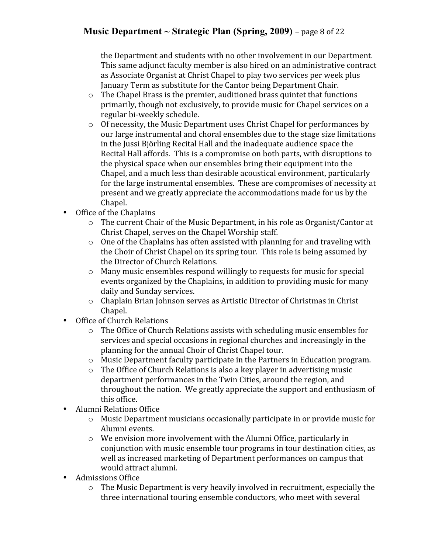# **Music Department ~ Strategic Plan (Spring, 2009)** –
page
8
of
22

the
Department
and
students
with
no
other
involvement
in
our
Department. This
same
adjunct
faculty
member
is
also
hired
on
an
administrative
contract as
Associate
Organist
at
Christ
Chapel
to
play
two
services
per
week
plus January
Term
as
substitute
for
the
Cantor
being
Department
Chair.

- o The
Chapel
Brass
is
the
premier,
auditioned
brass
quintet
that
functions primarily,
though
not
exclusively,
to
provide
music
for
Chapel
services
on
a regular
bi‐weekly
schedule.
- o Of
necessity,
the
Music
Department
uses
Christ
Chapel
for
performances
by our
large
instrumental
and
choral
ensembles
due
to
the
stage
size
limitations in
the
Jussi
Björling
Recital
Hall
and
the
inadequate
audience
space
the Recital
Hall
affords.

This
is
a
compromise
on
both
parts,
with
disruptions
to the
physical
space
when
our
ensembles
bring
their
equipment
into
the Chapel,
and
a
much
less
than
desirable
acoustical
environment,
particularly for
the
large
instrumental
ensembles.

These
are
compromises
of
necessity
at present
and
we
greatly
appreciate
the
accommodations
made
for
us
by
the Chapel.
- Office of the Chaplains
	- o The
	current
	Chair
	of
	the
	Music
	Department,
	in
	his
	role
	as
	Organist/Cantor
	at Christ
	Chapel,
	serves
	on
	the
	Chapel
	Worship
	staff.
	- o One of the Chaplains has often assisted with planning for and traveling with the Choir of Christ Chapel on its spring tour. This role is being assumed by the
	Director
	of
	Church
	Relations.
	- o Many
	music
	ensembles
	respond
	willingly
	to
	requests
	for
	music
	for
	special events
	organized
	by
	the
	Chaplains,
	in
	addition
	to
	providing
	music
	for
	many daily
	and
	Sunday
	services.
	- o Chaplain
	Brian
	Johnson
	serves
	as
	Artistic
	Director
	of
	Christmas
	in
	Christ Chapel.
- Office
of
Church
Relations
	- o The
	Office
	of
	Church
	Relations
	assists
	with
	scheduling
	music
	ensembles
	for services
	and
	special
	occasions
	in
	regional
	churches
	and
	increasingly
	in
	the planning
	for
	the
	annual
	Choir
	of
	Christ
	Chapel
	tour.
	- o Music
	Department
	faculty
	participate
	in
	the
	Partners
	in
	Education
	program.
	- o The
	Office
	of
	Church
	Relations
	is
	also
	a
	key
	player
	in
	advertising
	music department
	performances
	in
	the
	Twin
	Cities,
	around
	the
	region,
	and throughout
	the
	nation.
	
	We
	greatly
	appreciate
	the
	support
	and
	enthusiasm
	of this
	office.
- Alumni
Relations
Office
	- o Music
	Department
	musicians
	occasionally
	participate
	in
	or
	provide
	music
	for Alumni
	events.
	- o We
	envision
	more
	involvement
	with
	the
	Alumni
	Office,
	particularly
	in conjunction
	with
	music
	ensemble
	tour
	programs
	in
	tour
	destination
	cities,
	as well
	as
	increased
	marketing
	of
	Department
	performances
	on
	campus
	that would
	attract
	alumni.
- Admissions
Office
	- o The
	Music
	Department
	is
	very
	heavily
	involved
	in
	recruitment,
	especially
	the three
	international
	touring
	ensemble
	conductors,
	who
	meet
	with
	several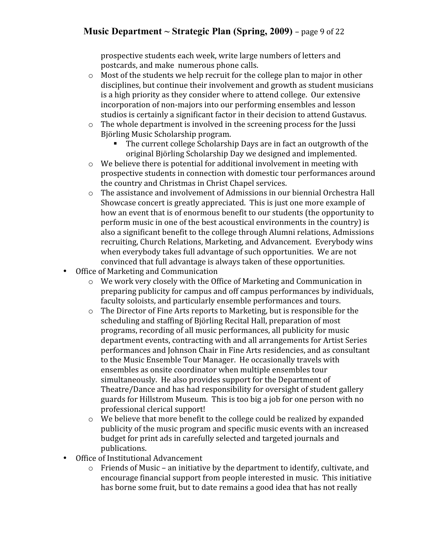## **Music Department ~ Strategic Plan (Spring, 2009)** –
page
9
of
22

prospective
students
each
week,
write
large
numbers
of
letters
and postcards,
and
make

numerous
phone
calls.

- $\circ$  Most of the students we help recruit for the college plan to major in other disciplines,
but
continue
their
involvement
and
growth
as
student
musicians is
a
high
priority
as
they
consider
where
to
attend
college.

Our
extensive incorporation of non-majors into our performing ensembles and lesson studios is certainly a significant factor in their decision to attend Gustavus.
- $\circ$  The whole department is involved in the screening process for the Jussi Björling
Music
Scholarship
program.
	- The
	current
	college
	Scholarship
	Days
	are
	in
	fact
	an
	outgrowth
	of
	the original
	Björling
	Scholarship
	Day
	we
	designed
	and
	implemented.
- $\circ$  We believe there is potential for additional involvement in meeting with prospective
students
in
connection
with
domestic
tour
performances
around the
country
and
Christmas
in
Christ
Chapel
services.
- $\circ$  The assistance and involvement of Admissions in our biennial Orchestra Hall Showcase
concert
is
greatly
appreciated.

This
is
just
one
more
example
of how
an
event
that
is
of
enormous
benefit
to
our
students
(the
opportunity
to perform
music
in
one
of
the
best
acoustical
environments
in
the
country)
is also
a
significant
benefit
to
the
college
through
Alumni
relations,
Admissions recruiting, Church Relations, Marketing, and Advancement. Everybody wins when everybody takes full advantage of such opportunities. We are not convinced
that
full
advantage
is
always
taken
of
these
opportunities.
- Office
of
Marketing
and
Communication
	- o We
	work
	very
	closely
	with
	the
	Office
	of
	Marketing
	and
	Communication
	in preparing
	publicity
	for
	campus
	and
	off
	campus
	performances
	by
	individuals, faculty
	soloists,
	and
	particularly
	ensemble
	performances
	and
	tours.
	- o The
	Director
	of
	Fine
	Arts
	reports
	to
	Marketing,
	but
	is
	responsible
	for
	the scheduling
	and
	staffing
	of
	Björling
	Recital
	Hall,
	preparation
	of
	most programs,
	recording
	of
	all
	music
	performances,
	all
	publicity
	for
	music department
	events,
	contracting
	with
	and
	all
	arrangements
	for
	Artist
	Series performances
	and
	Johnson
	Chair
	in
	Fine
	Arts
	residencies,
	and
	as
	consultant to
	the
	Music
	Ensemble
	Tour
	Manager.
	
	He
	occasionally
	travels
	with ensembles
	as
	onsite
	coordinator
	when
	multiple
	ensembles
	tour simultaneously.
	
	He
	also
	provides
	support
	for
	the
	Department
	of Theatre/Dance
	and
	has
	had
	responsibility
	for
	oversight
	of
	student
	gallery guards
	for
	Hillstrom
	Museum.
	
	This
	is
	too
	big
	a
	job
	for
	one
	person
	with
	no professional
	clerical
	support!
	- o We
	believe
	that
	more
	benefit
	to
	the
	college
	could
	be
	realized
	by
	expanded publicity
	of
	the
	music
	program
	and
	specific
	music
	events
	with
	an
	increased budget
	for
	print
	ads
	in
	carefully
	selected
	and
	targeted
	journals
	and publications.
- Office
of
Institutional
Advancement
	- o Friends
	of
	Music
	–
	an
	initiative
	by
	the
	department
	to
	identify,
	cultivate,
	and encourage
	financial
	support
	from
	people
	interested
	in
	music.
	
	This
	initiative has borne some fruit, but to date remains a good idea that has not really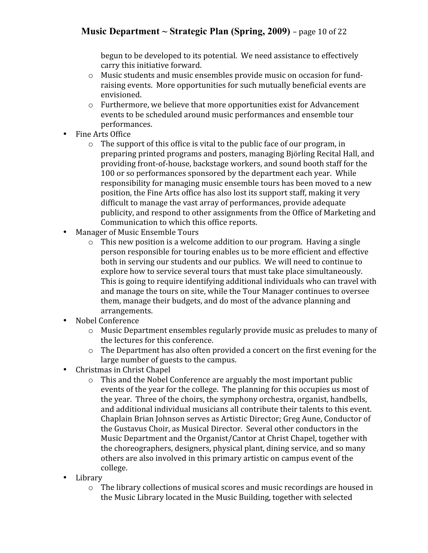# **Music** Department  $\sim$  **Strategic** Plan (Spring, 2009) – page 10 of 22

begun to be developed to its potential. We need assistance to effectively carry
this
initiative
forward.

- o Music
students
and
music
ensembles
provide
music
on
occasion
for
fund‐ raising
events.

More
opportunities
for
such
mutually
beneficial
events
are envisioned.
- o Furthermore,
we
believe
that
more
opportunities
exist
for
Advancement events
to
be
scheduled
around
music
performances
and
ensemble
tour performances.
- Fine
Arts
Office
	- o The
	support
	of
	this
	office
	is
	vital
	to
	the
	public
	face
	of
	our
	program,
	in preparing
	printed
	programs
	and
	posters,
	managing
	Björling
	Recital
	Hall,
	and providing
	front‐of‐house,
	backstage
	workers,
	and
	sound
	booth
	staff
	for
	the 100
	or
	so
	performances
	sponsored
	by
	the
	department
	each
	year.
	
	While responsibility for managing music ensemble tours has been moved to a new position,
	the
	Fine
	Arts
	office
	has
	also
	lost
	its
	support
	staff,
	making
	it
	very difficult to manage the vast array of performances, provide adequate publicity,
	and
	respond
	to
	other
	assignments
	from
	the
	Office
	of
	Marketing
	and Communication
	to
	which
	this
	office
	reports.
- Manager
of
Music
Ensemble
Tours
	- o This
	new
	position
	is
	a
	welcome
	addition
	to
	our
	program.
	
	Having
	a
	single person
	responsible
	for
	touring
	enables
	us
	to
	be
	more
	efficient
	and
	effective both
	in
	serving
	our
	students
	and
	our
	publics.
	
	We
	will
	need
	to
	continue
	to explore
	how
	to
	service
	several
	tours
	that
	must
	take
	place
	simultaneously. This is going to require identifying additional individuals who can travel with and
	manage
	the
	tours
	on
	site,
	while
	the
	Tour
	Manager
	continues
	to
	oversee them,
	manage
	their
	budgets,
	and
	do
	most
	of
	the
	advance
	planning
	and arrangements.
- Nobel
Conference
	- o Music
	Department
	ensembles
	regularly
	provide
	music
	as
	preludes
	to
	many
	of the
	lectures
	for
	this
	conference.
	- $\circ$  The Department has also often provided a concert on the first evening for the large
	number
	of
	guests
	to
	the
	campus.
- Christmas
in
Christ
Chapel
	- $\circ$  This and the Nobel Conference are arguably the most important public events of the year for the college. The planning for this occupies us most of the
	year.
	
	Three
	of
	the
	choirs,
	the
	symphony
	orchestra,
	organist,
	handbells, and additional individual musicians all contribute their talents to this event. Chaplain
	Brian
	Johnson
	serves
	as
	Artistic
	Director;
	Greg
	Aune,
	Conductor
	of the
	Gustavus
	Choir,
	as
	Musical
	Director.
	
	Several
	other
	conductors
	in
	the Music Department and the Organist/Cantor at Christ Chapel, together with the
	choreographers,
	designers,
	physical
	plant,
	dining
	service,
	and
	so
	many others
	are
	also
	involved
	in
	this
	primary
	artistic
	on
	campus
	event
	of
	the college.
- Library
	- o The
	library
	collections
	of
	musical
	scores
	and
	music
	recordings
	are
	housed
	in the
	Music
	Library
	located
	in
	the
	Music
	Building,
	together
	with
	selected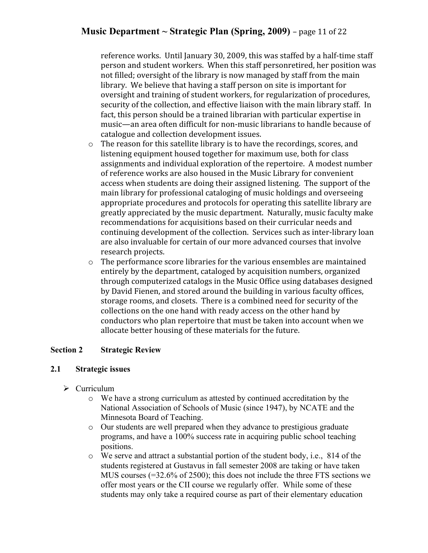## **Music** Department  $\sim$  **Strategic** Plan (Spring, 2009) – page 11 of 22

reference works. Until January 30, 2009, this was staffed by a half-time staff person
and
student
workers.

When
this
staff
personretired,
her
position
was not filled; oversight of the library is now managed by staff from the main library. We believe that having a staff person on site is important for oversight
and
training
of
student
workers,
for
regularization
of
procedures, security of the collection, and effective liaison with the main library staff. In fact,
this
person
should
be
a
trained
librarian
with
particular
expertise
in music—an
area
often
difficult
for
non‐music
librarians
to
handle
because
of catalogue
and
collection
development
issues.

- o The
reason
for
this
satellite
library
is
to
have the
recordings,
scores,
and listening
equipment
housed
together
for
maximum
use,
both
for
class assignments
and
individual
exploration
of
the
repertoire.

A
modest
number of
reference
works
are
also
housed
in
the
Music
Library
for
convenient access
when
students
are
doing
their
assigned
listening.

The
support
of
the main
library
for
professional
cataloging
of
music
holdings
and
overseeing appropriate procedures and protocols for operating this satellite library are greatly
appreciated
by
the
music
department.

Naturally,
music
faculty
make recommendations
for
acquisitions
based
on
their
curricular
needs
and continuing development of the collection. Services such as inter-library loan are
also
invaluable
for
certain
of
our
more
advanced
courses
that
involve research
projects.
- o The
performance
score
libraries
for
the
various
ensembles
are
maintained entirely
by
the
department,
cataloged
by
acquisition
numbers,
organized through
computerized
catalogs
in
the
Music
Office
using
databases
designed by
David
Fienen,
and
stored
around
the
building
in
various
faculty
offices, storage
rooms,
and
closets.

There
is
a
combined
need
for
security
of
the collections
on
the
one
hand
with
ready
access
on
the
other
hand
by conductors
who
plan
repertoire
that
must
be
taken
into
account
when
we allocate
better
housing
of
these
materials
for
the
future.

#### **Section 2 Strategic Review**

#### **2.1 Strategic issues**

- $\triangleright$  Curriculum
	- o We have a strong curriculum as attested by continued accreditation by the National Association of Schools of Music (since 1947), by NCATE and the Minnesota Board of Teaching.
	- o Our students are well prepared when they advance to prestigious graduate programs, and have a 100% success rate in acquiring public school teaching positions.
	- $\circ$  We serve and attract a substantial portion of the student body, i.e., 814 of the students registered at Gustavus in fall semester 2008 are taking or have taken MUS courses (=32.6% of 2500); this does not include the three FTS sections we offer most years or the CII course we regularly offer. While some of these students may only take a required course as part of their elementary education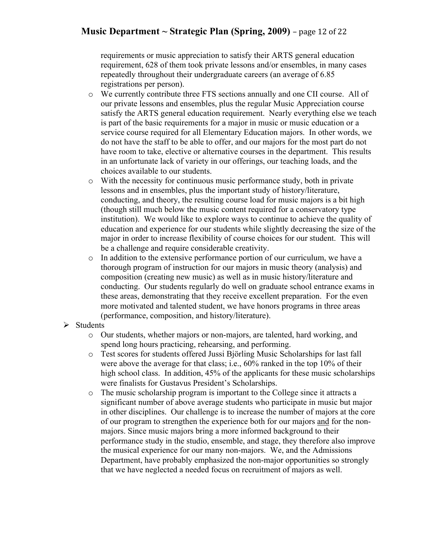### **Music Department**  $\sim$  **Strategic Plan (Spring, 2009)** – page 12 of 22

requirements or music appreciation to satisfy their ARTS general education requirement, 628 of them took private lessons and/or ensembles, in many cases repeatedly throughout their undergraduate careers (an average of 6.85 registrations per person).

- o We currently contribute three FTS sections annually and one CII course. All of our private lessons and ensembles, plus the regular Music Appreciation course satisfy the ARTS general education requirement. Nearly everything else we teach is part of the basic requirements for a major in music or music education or a service course required for all Elementary Education majors. In other words, we do not have the staff to be able to offer, and our majors for the most part do not have room to take, elective or alternative courses in the department. This results in an unfortunate lack of variety in our offerings, our teaching loads, and the choices available to our students.
- o With the necessity for continuous music performance study, both in private lessons and in ensembles, plus the important study of history/literature, conducting, and theory, the resulting course load for music majors is a bit high (though still much below the music content required for a conservatory type institution). We would like to explore ways to continue to achieve the quality of education and experience for our students while slightly decreasing the size of the major in order to increase flexibility of course choices for our student. This will be a challenge and require considerable creativity.
- o In addition to the extensive performance portion of our curriculum, we have a thorough program of instruction for our majors in music theory (analysis) and composition (creating new music) as well as in music history/literature and conducting. Our students regularly do well on graduate school entrance exams in these areas, demonstrating that they receive excellent preparation. For the even more motivated and talented student, we have honors programs in three areas (performance, composition, and history/literature).
- $\triangleright$  Students
	- o Our students, whether majors or non-majors, are talented, hard working, and spend long hours practicing, rehearsing, and performing.
	- o Test scores for students offered Jussi Björling Music Scholarships for last fall were above the average for that class; i.e., 60% ranked in the top 10% of their high school class. In addition, 45% of the applicants for these music scholarships were finalists for Gustavus President's Scholarships.
	- $\circ$  The music scholarship program is important to the College since it attracts a significant number of above average students who participate in music but major in other disciplines. Our challenge is to increase the number of majors at the core of our program to strengthen the experience both for our majors and for the nonmajors. Since music majors bring a more informed background to their performance study in the studio, ensemble, and stage, they therefore also improve the musical experience for our many non-majors. We, and the Admissions Department, have probably emphasized the non-major opportunities so strongly that we have neglected a needed focus on recruitment of majors as well.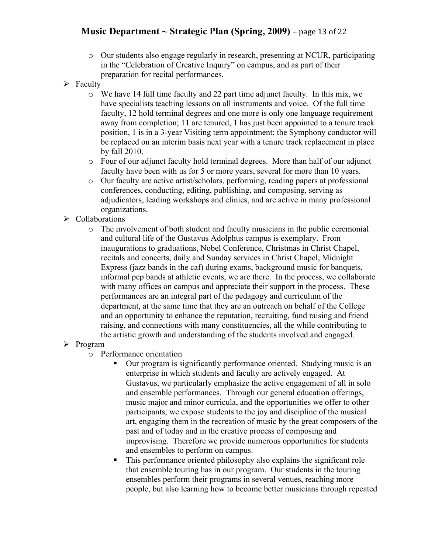## **Music** Department  $\sim$  **Strategic** Plan (Spring, 2009) – page 13 of 22

- o Our students also engage regularly in research, presenting at NCUR, participating in the "Celebration of Creative Inquiry" on campus, and as part of their preparation for recital performances.
- $\triangleright$  Faculty
	- $\circ$  We have 14 full time faculty and 22 part time adjunct faculty. In this mix, we have specialists teaching lessons on all instruments and voice. Of the full time faculty, 12 hold terminal degrees and one more is only one language requirement away from completion; 11 are tenured, 1 has just been appointed to a tenure track position, 1 is in a 3-year Visiting term appointment; the Symphony conductor will be replaced on an interim basis next year with a tenure track replacement in place by fall 2010.
	- o Four of our adjunct faculty hold terminal degrees. More than half of our adjunct faculty have been with us for 5 or more years, several for more than 10 years.
	- o Our faculty are active artist/scholars, performing, reading papers at professional conferences, conducting, editing, publishing, and composing, serving as adjudicators, leading workshops and clinics, and are active in many professional organizations.
- $\triangleright$  Collaborations
	- o The involvement of both student and faculty musicians in the public ceremonial and cultural life of the Gustavus Adolphus campus is exemplary. From inaugurations to graduations, Nobel Conference, Christmas in Christ Chapel, recitals and concerts, daily and Sunday services in Christ Chapel, Midnight Express (jazz bands in the caf) during exams, background music for banquets, informal pep bands at athletic events, we are there. In the process, we collaborate with many offices on campus and appreciate their support in the process. These performances are an integral part of the pedagogy and curriculum of the department, at the same time that they are an outreach on behalf of the College and an opportunity to enhance the reputation, recruiting, fund raising and friend raising, and connections with many constituencies, all the while contributing to the artistic growth and understanding of the students involved and engaged.

#### $\triangleright$  Program

- o Performance orientation
	- Our program is significantly performance oriented. Studying music is an enterprise in which students and faculty are actively engaged. At Gustavus, we particularly emphasize the active engagement of all in solo and ensemble performances. Through our general education offerings, music major and minor curricula, and the opportunities we offer to other participants, we expose students to the joy and discipline of the musical art, engaging them in the recreation of music by the great composers of the past and of today and in the creative process of composing and improvising. Therefore we provide numerous opportunities for students and ensembles to perform on campus.
	- This performance oriented philosophy also explains the significant role that ensemble touring has in our program. Our students in the touring ensembles perform their programs in several venues, reaching more people, but also learning how to become better musicians through repeated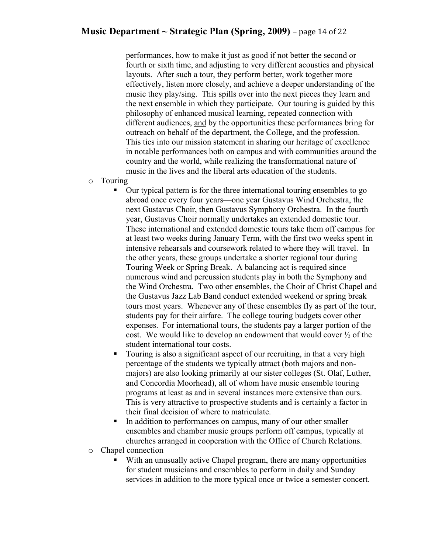### **Music Department**  $\sim$  **Strategic Plan (Spring, 2009)** – page 14 of 22

performances, how to make it just as good if not better the second or fourth or sixth time, and adjusting to very different acoustics and physical layouts. After such a tour, they perform better, work together more effectively, listen more closely, and achieve a deeper understanding of the music they play/sing. This spills over into the next pieces they learn and the next ensemble in which they participate. Our touring is guided by this philosophy of enhanced musical learning, repeated connection with different audiences, and by the opportunities these performances bring for outreach on behalf of the department, the College, and the profession. This ties into our mission statement in sharing our heritage of excellence in notable performances both on campus and with communities around the country and the world, while realizing the transformational nature of music in the lives and the liberal arts education of the students.

- o Touring
	- Our typical pattern is for the three international touring ensembles to go abroad once every four years—one year Gustavus Wind Orchestra, the next Gustavus Choir, then Gustavus Symphony Orchestra. In the fourth year, Gustavus Choir normally undertakes an extended domestic tour. These international and extended domestic tours take them off campus for at least two weeks during January Term, with the first two weeks spent in intensive rehearsals and coursework related to where they will travel. In the other years, these groups undertake a shorter regional tour during Touring Week or Spring Break. A balancing act is required since numerous wind and percussion students play in both the Symphony and the Wind Orchestra. Two other ensembles, the Choir of Christ Chapel and the Gustavus Jazz Lab Band conduct extended weekend or spring break tours most years. Whenever any of these ensembles fly as part of the tour, students pay for their airfare. The college touring budgets cover other expenses. For international tours, the students pay a larger portion of the cost. We would like to develop an endowment that would cover ½ of the student international tour costs.
	- Touring is also a significant aspect of our recruiting, in that a very high percentage of the students we typically attract (both majors and nonmajors) are also looking primarily at our sister colleges (St. Olaf, Luther, and Concordia Moorhead), all of whom have music ensemble touring programs at least as and in several instances more extensive than ours. This is very attractive to prospective students and is certainly a factor in their final decision of where to matriculate.
	- In addition to performances on campus, many of our other smaller ensembles and chamber music groups perform off campus, typically at churches arranged in cooperation with the Office of Church Relations.
- o Chapel connection
	- With an unusually active Chapel program, there are many opportunities for student musicians and ensembles to perform in daily and Sunday services in addition to the more typical once or twice a semester concert.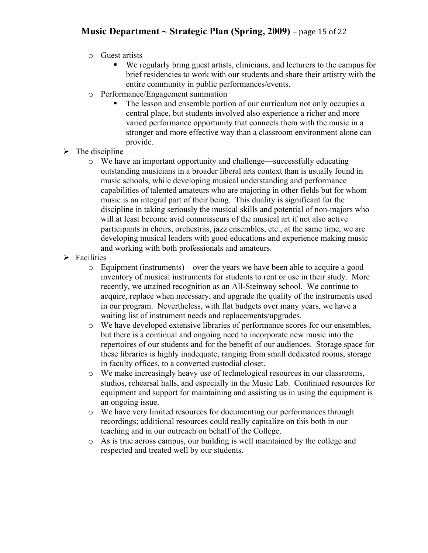## **Music** Department  $\sim$  **Strategic** Plan (Spring, 2009) – page 15 of 22

- o Guest artists
	- We regularly bring guest artists, clinicians, and lecturers to the campus for brief residencies to work with our students and share their artistry with the entire community in public performances/events.
- o Performance/Engagement summation
	- The lesson and ensemble portion of our curriculum not only occupies a central place, but students involved also experience a richer and more varied performance opportunity that connects them with the music in a stronger and more effective way than a classroom environment alone can provide.
- $\triangleright$  The discipline
	- o We have an important opportunity and challenge—successfully educating outstanding musicians in a broader liberal arts context than is usually found in music schools, while developing musical understanding and performance capabilities of talented amateurs who are majoring in other fields but for whom music is an integral part of their being. This duality is significant for the discipline in taking seriously the musical skills and potential of non-majors who will at least become avid connoisseurs of the musical art if not also active participants in choirs, orchestras, jazz ensembles, etc., at the same time, we are developing musical leaders with good educations and experience making music and working with both professionals and amateurs.
- $\triangleright$  Facilities
	- $\circ$  Equipment (instruments) over the years we have been able to acquire a good inventory of musical instruments for students to rent or use in their study. More recently, we attained recognition as an All-Steinway school. We continue to acquire, replace when necessary, and upgrade the quality of the instruments used in our program. Nevertheless, with flat budgets over many years, we have a waiting list of instrument needs and replacements/upgrades.
	- o We have developed extensive libraries of performance scores for our ensembles, but there is a continual and ongoing need to incorporate new music into the repertoires of our students and for the benefit of our audiences. Storage space for these libraries is highly inadequate, ranging from small dedicated rooms, storage in faculty offices, to a converted custodial closet.
	- o We make increasingly heavy use of technological resources in our classrooms, studios, rehearsal halls, and especially in the Music Lab. Continued resources for equipment and support for maintaining and assisting us in using the equipment is an ongoing issue.
	- o We have very limited resources for documenting our performances through recordings; additional resources could really capitalize on this both in our teaching and in our outreach on behalf of the College.
	- o As is true across campus, our building is well maintained by the college and respected and treated well by our students.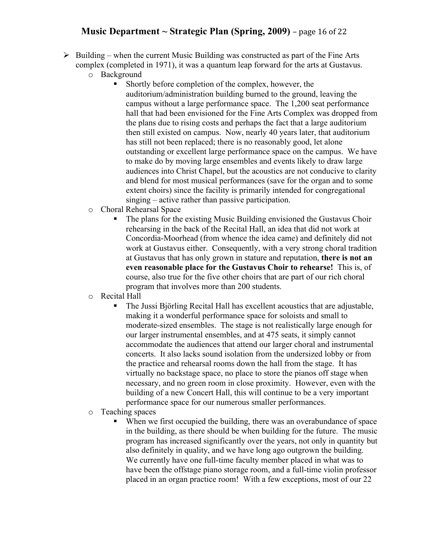### **Music** Department  $\sim$  **Strategic** Plan (Spring, 2009) – page 16 of 22

- $\triangleright$  Building when the current Music Building was constructed as part of the Fine Arts complex (completed in 1971), it was a quantum leap forward for the arts at Gustavus.
	- o Background
		- Shortly before completion of the complex, however, the auditorium/administration building burned to the ground, leaving the campus without a large performance space. The 1,200 seat performance hall that had been envisioned for the Fine Arts Complex was dropped from the plans due to rising costs and perhaps the fact that a large auditorium then still existed on campus. Now, nearly 40 years later, that auditorium has still not been replaced; there is no reasonably good, let alone outstanding or excellent large performance space on the campus. We have to make do by moving large ensembles and events likely to draw large audiences into Christ Chapel, but the acoustics are not conducive to clarity and blend for most musical performances (save for the organ and to some extent choirs) since the facility is primarily intended for congregational singing – active rather than passive participation.
	- o Choral Rehearsal Space
		- The plans for the existing Music Building envisioned the Gustavus Choir rehearsing in the back of the Recital Hall, an idea that did not work at Concordia-Moorhead (from whence the idea came) and definitely did not work at Gustavus either. Consequently, with a very strong choral tradition at Gustavus that has only grown in stature and reputation, **there is not an even reasonable place for the Gustavus Choir to rehearse!** This is, of course, also true for the five other choirs that are part of our rich choral program that involves more than 200 students.
	- o Recital Hall
		- The Jussi Björling Recital Hall has excellent acoustics that are adjustable, making it a wonderful performance space for soloists and small to moderate-sized ensembles. The stage is not realistically large enough for our larger instrumental ensembles, and at 475 seats, it simply cannot accommodate the audiences that attend our larger choral and instrumental concerts. It also lacks sound isolation from the undersized lobby or from the practice and rehearsal rooms down the hall from the stage. It has virtually no backstage space, no place to store the pianos off stage when necessary, and no green room in close proximity. However, even with the building of a new Concert Hall, this will continue to be a very important performance space for our numerous smaller performances.
	- o Teaching spaces
		- When we first occupied the building, there was an overabundance of space in the building, as there should be when building for the future. The music program has increased significantly over the years, not only in quantity but also definitely in quality, and we have long ago outgrown the building. We currently have one full-time faculty member placed in what was to have been the offstage piano storage room, and a full-time violin professor placed in an organ practice room! With a few exceptions, most of our 22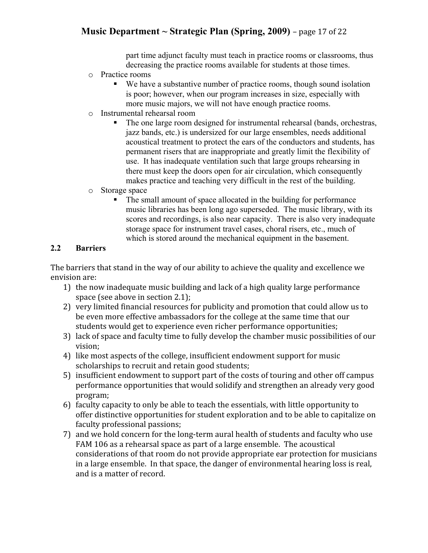## **Music** Department  $\sim$  **Strategic** Plan (Spring, 2009) – page 17 of 22

part time adjunct faculty must teach in practice rooms or classrooms, thus decreasing the practice rooms available for students at those times.

- o Practice rooms
	- We have a substantive number of practice rooms, though sound isolation is poor; however, when our program increases in size, especially with more music majors, we will not have enough practice rooms.
- o Instrumental rehearsal room
	- The one large room designed for instrumental rehearsal (bands, orchestras, jazz bands, etc.) is undersized for our large ensembles, needs additional acoustical treatment to protect the ears of the conductors and students, has permanent risers that are inappropriate and greatly limit the flexibility of use. It has inadequate ventilation such that large groups rehearsing in there must keep the doors open for air circulation, which consequently makes practice and teaching very difficult in the rest of the building.
- o Storage space
	- The small amount of space allocated in the building for performance music libraries has been long ago superseded. The music library, with its scores and recordings, is also near capacity. There is also very inadequate storage space for instrument travel cases, choral risers, etc., much of which is stored around the mechanical equipment in the basement.

#### **2.2 Barriers**

The barriers that stand in the way of our ability to achieve the quality and excellence we envision
are:

- 1) the
now
inadequate
music
building
and
lack
of
a
high
quality
large
performance space
(see
above
in
section
2.1);
- 2) very limited financial resources for publicity and promotion that could allow us to be even more effective ambassadors for the college at the same time that our students
would
get
to
experience
even
richer
performance
opportunities;
- 3) lack of space and faculty time to fully develop the chamber music possibilities of our vision;
- 4) like
most
aspects
of
the
college,
insufficient endowment
support
for
music scholarships
to
recruit
and
retain
good
students;
- 5) insufficient endowment to support part of the costs of touring and other off campus performance
opportunities
that
would
solidify
and
strengthen
an
already
very
good program;
- 6) faculty capacity to only be able to teach the essentials, with little opportunity to offer
distinctive
opportunities
for
student
exploration
and
to
be
able
to
capitalize
on faculty
professional
passions;
- 7) and we hold concern for the long-term aural health of students and faculty who use FAM 106 as a rehearsal space as part of a large ensemble. The acoustical considerations
of
that
room
do
not
provide
appropriate
ear
protection
for
musicians in a large ensemble. In that space, the danger of environmental hearing loss is real, and
is
a
matter
of
record.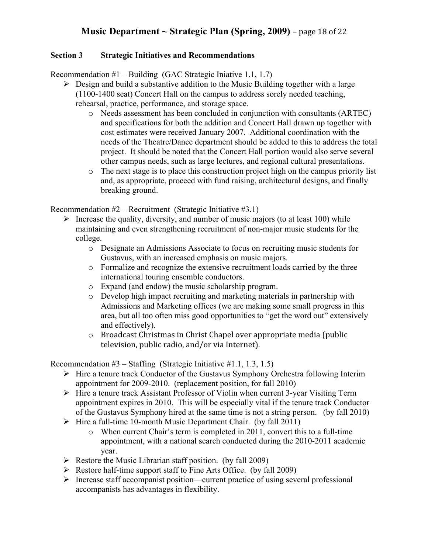### **Music** Department  $\sim$  **Strategic** Plan (Spring, 2009) – page 18 of 22

#### **Section 3 Strategic Initiatives and Recommendations**

Recommendation  $#1$  – Building (GAC Strategic Iniative 1.1, 1.7)

- $\triangleright$  Design and build a substantive addition to the Music Building together with a large (1100-1400 seat) Concert Hall on the campus to address sorely needed teaching, rehearsal, practice, performance, and storage space.
	- o Needs assessment has been concluded in conjunction with consultants (ARTEC) and specifications for both the addition and Concert Hall drawn up together with cost estimates were received January 2007. Additional coordination with the needs of the Theatre/Dance department should be added to this to address the total project. It should be noted that the Concert Hall portion would also serve several other campus needs, such as large lectures, and regional cultural presentations.
	- o The next stage is to place this construction project high on the campus priority list and, as appropriate, proceed with fund raising, architectural designs, and finally breaking ground.

Recommendation  $#2$  – Recruitment (Strategic Initiative  $#3.1$ )

- $\triangleright$  Increase the quality, diversity, and number of music majors (to at least 100) while maintaining and even strengthening recruitment of non-major music students for the college.
	- o Designate an Admissions Associate to focus on recruiting music students for Gustavus, with an increased emphasis on music majors.
	- o Formalize and recognize the extensive recruitment loads carried by the three international touring ensemble conductors.
	- o Expand (and endow) the music scholarship program.
	- o Develop high impact recruiting and marketing materials in partnership with Admissions and Marketing offices (we are making some small progress in this area, but all too often miss good opportunities to "get the word out" extensively and effectively).
	- o Broadcast
	Christmas
	in
	Christ
	Chapel
	over
	appropriate
	media
	(public television,
	public
	radio,
	and/or
	via
	Internet).

Recommendation  $#3$  – Staffing (Strategic Initiative  $#1.1, 1.3, 1.5$ )

- $\triangleright$  Hire a tenure track Conductor of the Gustavus Symphony Orchestra following Interim appointment for 2009-2010. (replacement position, for fall 2010)
- $\triangleright$  Hire a tenure track Assistant Professor of Violin when current 3-year Visiting Term appointment expires in 2010. This will be especially vital if the tenure track Conductor of the Gustavus Symphony hired at the same time is not a string person. (by fall 2010)
- $\triangleright$  Hire a full-time 10-month Music Department Chair. (by fall 2011)
	- o When current Chair's term is completed in 2011, convert this to a full-time appointment, with a national search conducted during the 2010-2011 academic year.
- $\triangleright$  Restore the Music Librarian staff position. (by fall 2009)
- $\triangleright$  Restore half-time support staff to Fine Arts Office. (by fall 2009)
- $\triangleright$  Increase staff accompanist position—current practice of using several professional accompanists has advantages in flexibility.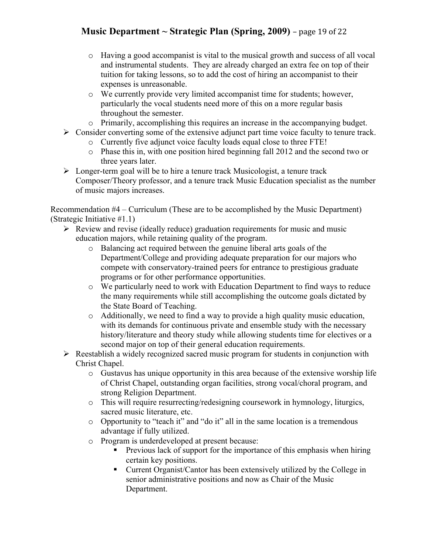# **Music** Department  $\sim$  **Strategic** Plan (Spring, 2009) – page 19 of 22

- o Having a good accompanist is vital to the musical growth and success of all vocal and instrumental students. They are already charged an extra fee on top of their tuition for taking lessons, so to add the cost of hiring an accompanist to their expenses is unreasonable.
- o We currently provide very limited accompanist time for students; however, particularly the vocal students need more of this on a more regular basis throughout the semester.
- o Primarily, accomplishing this requires an increase in the accompanying budget.
- $\triangleright$  Consider converting some of the extensive adjunct part time voice faculty to tenure track.
	- o Currently five adjunct voice faculty loads equal close to three FTE!
	- o Phase this in, with one position hired beginning fall 2012 and the second two or three years later.
- $\triangleright$  Longer-term goal will be to hire a tenure track Musicologist, a tenure track Composer/Theory professor, and a tenure track Music Education specialist as the number of music majors increases.

Recommendation #4 – Curriculum (These are to be accomplished by the Music Department) (Strategic Initiative #1.1)

- $\triangleright$  Review and revise (ideally reduce) graduation requirements for music and music education majors, while retaining quality of the program.
	- o Balancing act required between the genuine liberal arts goals of the Department/College and providing adequate preparation for our majors who compete with conservatory-trained peers for entrance to prestigious graduate programs or for other performance opportunities.
	- o We particularly need to work with Education Department to find ways to reduce the many requirements while still accomplishing the outcome goals dictated by the State Board of Teaching.
	- o Additionally, we need to find a way to provide a high quality music education, with its demands for continuous private and ensemble study with the necessary history/literature and theory study while allowing students time for electives or a second major on top of their general education requirements.
- $\triangleright$  Reestablish a widely recognized sacred music program for students in conjunction with Christ Chapel.
	- o Gustavus has unique opportunity in this area because of the extensive worship life of Christ Chapel, outstanding organ facilities, strong vocal/choral program, and strong Religion Department.
	- o This will require resurrecting/redesigning coursework in hymnology, liturgics, sacred music literature, etc.
	- o Opportunity to "teach it" and "do it" all in the same location is a tremendous advantage if fully utilized.
	- o Program is underdeveloped at present because:
		- **Previous lack of support for the importance of this emphasis when hiring** certain key positions.
		- Current Organist/Cantor has been extensively utilized by the College in senior administrative positions and now as Chair of the Music Department.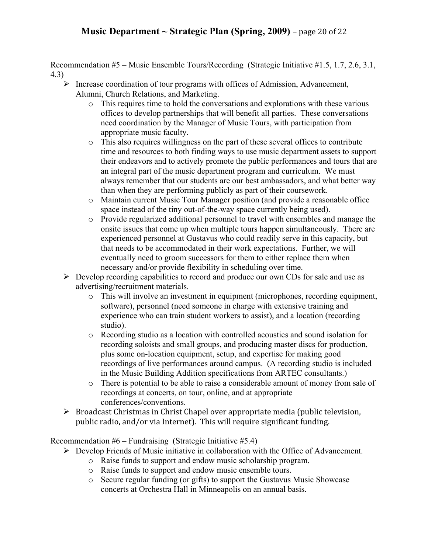## **Music** Department  $\sim$  **Strategic** Plan (Spring, 2009) – page 20 of 22

Recommendation #5 – Music Ensemble Tours/Recording (Strategic Initiative #1.5, 1.7, 2.6, 3.1, 4.3)

- $\triangleright$  Increase coordination of tour programs with offices of Admission, Advancement, Alumni, Church Relations, and Marketing.
	- o This requires time to hold the conversations and explorations with these various offices to develop partnerships that will benefit all parties. These conversations need coordination by the Manager of Music Tours, with participation from appropriate music faculty.
	- o This also requires willingness on the part of these several offices to contribute time and resources to both finding ways to use music department assets to support their endeavors and to actively promote the public performances and tours that are an integral part of the music department program and curriculum. We must always remember that our students are our best ambassadors, and what better way than when they are performing publicly as part of their coursework.
	- o Maintain current Music Tour Manager position (and provide a reasonable office space instead of the tiny out-of-the-way space currently being used).
	- o Provide regularized additional personnel to travel with ensembles and manage the onsite issues that come up when multiple tours happen simultaneously. There are experienced personnel at Gustavus who could readily serve in this capacity, but that needs to be accommodated in their work expectations. Further, we will eventually need to groom successors for them to either replace them when necessary and/or provide flexibility in scheduling over time.
- $\triangleright$  Develop recording capabilities to record and produce our own CDs for sale and use as advertising/recruitment materials.
	- o This will involve an investment in equipment (microphones, recording equipment, software), personnel (need someone in charge with extensive training and experience who can train student workers to assist), and a location (recording studio).
	- o Recording studio as a location with controlled acoustics and sound isolation for recording soloists and small groups, and producing master discs for production, plus some on-location equipment, setup, and expertise for making good recordings of live performances around campus. (A recording studio is included in the Music Building Addition specifications from ARTEC consultants.)
	- o There is potential to be able to raise a considerable amount of money from sale of recordings at concerts, on tour, online, and at appropriate conferences/conventions.
- > Broadcast Christmas in Christ Chapel over appropriate media (public television, public
radio,
and/or
via
Internet).

This
will
require
significant
funding.

Recommendation  $#6$  – Fundraising (Strategic Initiative  $#5.4$ )

- Develop Friends of Music initiative in collaboration with the Office of Advancement.
	- o Raise funds to support and endow music scholarship program.
	- o Raise funds to support and endow music ensemble tours.
	- o Secure regular funding (or gifts) to support the Gustavus Music Showcase concerts at Orchestra Hall in Minneapolis on an annual basis.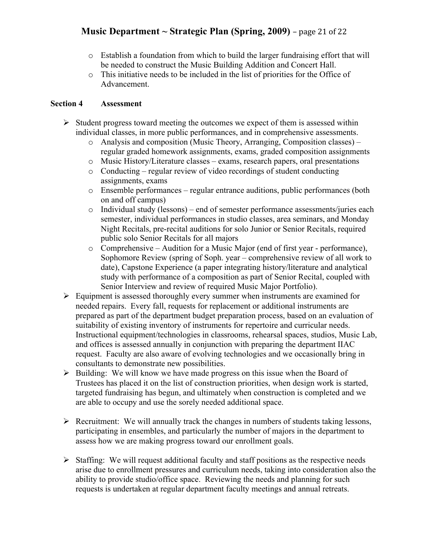## **Music** Department  $\sim$  **Strategic** Plan (Spring, 2009) – page 21 of 22

- $\circ$  Establish a foundation from which to build the larger fundraising effort that will be needed to construct the Music Building Addition and Concert Hall.
- o This initiative needs to be included in the list of priorities for the Office of Advancement.

#### **Section 4 Assessment**

- $\triangleright$  Student progress toward meeting the outcomes we expect of them is assessed within individual classes, in more public performances, and in comprehensive assessments.
	- o Analysis and composition (Music Theory, Arranging, Composition classes) regular graded homework assignments, exams, graded composition assignments
	- o Music History/Literature classes exams, research papers, oral presentations
	- o Conducting regular review of video recordings of student conducting assignments, exams
	- o Ensemble performances regular entrance auditions, public performances (both on and off campus)
	- o Individual study (lessons) end of semester performance assessments/juries each semester, individual performances in studio classes, area seminars, and Monday Night Recitals, pre-recital auditions for solo Junior or Senior Recitals, required public solo Senior Recitals for all majors
	- o Comprehensive Audition for a Music Major (end of first year performance), Sophomore Review (spring of Soph. year – comprehensive review of all work to date), Capstone Experience (a paper integrating history/literature and analytical study with performance of a composition as part of Senior Recital, coupled with Senior Interview and review of required Music Major Portfolio).
- $\triangleright$  Equipment is assessed thoroughly every summer when instruments are examined for needed repairs. Every fall, requests for replacement or additional instruments are prepared as part of the department budget preparation process, based on an evaluation of suitability of existing inventory of instruments for repertoire and curricular needs. Instructional equipment/technologies in classrooms, rehearsal spaces, studios, Music Lab, and offices is assessed annually in conjunction with preparing the department IIAC request. Faculty are also aware of evolving technologies and we occasionally bring in consultants to demonstrate new possibilities.
- $\triangleright$  Building: We will know we have made progress on this issue when the Board of Trustees has placed it on the list of construction priorities, when design work is started, targeted fundraising has begun, and ultimately when construction is completed and we are able to occupy and use the sorely needed additional space.
- $\triangleright$  Recruitment: We will annually track the changes in numbers of students taking lessons, participating in ensembles, and particularly the number of majors in the department to assess how we are making progress toward our enrollment goals.
- $\triangleright$  Staffing: We will request additional faculty and staff positions as the respective needs arise due to enrollment pressures and curriculum needs, taking into consideration also the ability to provide studio/office space. Reviewing the needs and planning for such requests is undertaken at regular department faculty meetings and annual retreats.